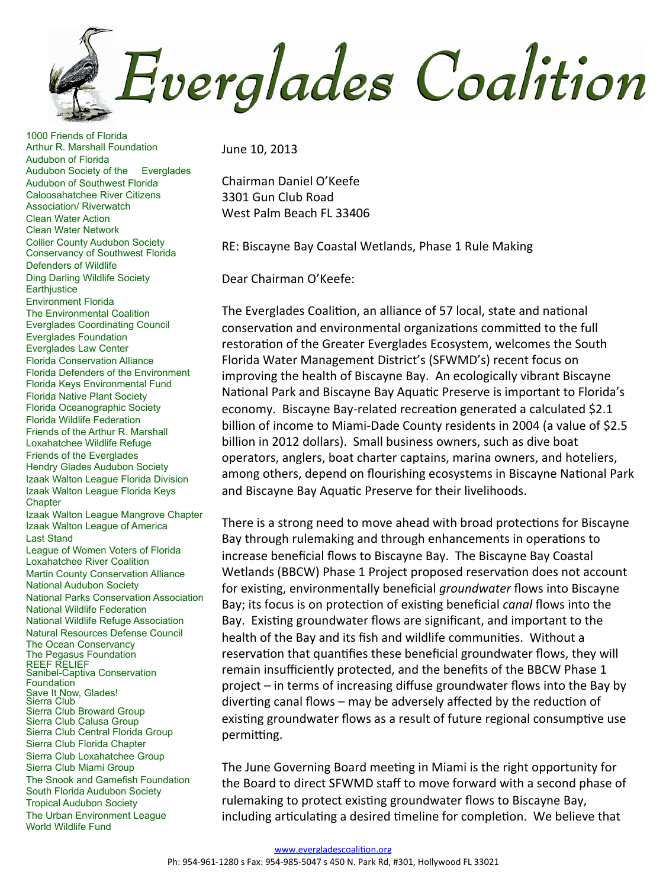**Everglades Coalition** 

1000 Friends of Florida Arthur R. Marshall Foundation Audubon of Florida Audubon Society of the Everglades Audubon of Southwest Florida Caloosahatchee River Citizens Association/ Riverwatch Clean Water Action Clean Water Network Collier County Audubon Society Conservancy of Southwest Florida Defenders of Wildlife Ding Darling Wildlife Society **Earthjustice** Environment Florida The Environmental Coalition Everglades Coordinating Council Everglades Foundation Everglades Law Center Florida Conservation Alliance Florida Defenders of the Environment Florida Keys Environmental Fund Florida Native Plant Society Florida Oceanographic Society Florida Wildlife Federation Friends of the Arthur R. Marshall Loxahatchee Wildlife Refuge Friends of the Everglades Hendry Glades Audubon Society Izaak Walton League Florida Division Izaak Walton League Florida Keys **Chapter** Izaak Walton League Mangrove Chapter Izaak Walton League of America Last Stand League of Women Voters of Florida Loxahatchee River Coalition Martin County Conservation Alliance National Audubon Society National Parks Conservation Association National Wildlife Federation National Wildlife Refuge Association Natural Resources Defense Council The Ocean Conservancy The Pegasus Foundation REEF RELIEF Sanibel-Captiva Conservation **Foundation** Save It Now, Glades! Sierra Club Sierra Club Broward Group Sierra Club Calusa Group Sierra Club Central Florida Group Sierra Club Florida Chapter Sierra Club Loxahatchee Group Sierra Club Miami Group The Snook and Gamefish Foundation South Florida Audubon Society Tropical Audubon Society The Urban Environment League World Wildlife Fund

June 10, 2013

Chairman Daniel O'Keefe 3301 Gun Club Road West Palm Beach FL 33406

RE: Biscayne Bay Coastal Wetlands, Phase 1 Rule Making

Dear Chairman O'Keefe:

The Everglades Coalition, an alliance of 57 local, state and national conservation and environmental organizations committed to the full restoration of the Greater Everglades Ecosystem, welcomes the South Florida Water Management District's (SFWMD's) recent focus on improving the health of Biscayne Bay. An ecologically vibrant Biscayne National Park and Biscayne Bay Aquatic Preserve is important to Florida's economy. Biscayne Bay-related recreation generated a calculated \$2.1 billion of income to Miami-Dade County residents in 2004 (a value of \$2.5 billion in 2012 dollars). Small business owners, such as dive boat operators, anglers, boat charter captains, marina owners, and hoteliers, among others, depend on flourishing ecosystems in Biscayne National Park and Biscayne Bay Aquatic Preserve for their livelihoods.

There is a strong need to move ahead with broad protections for Biscayne Bay through rulemaking and through enhancements in operations to increase beneficial flows to Biscayne Bay. The Biscayne Bay Coastal Wetlands (BBCW) Phase 1 Project proposed reservation does not account for existing, environmentally beneficial *groundwater* flows into Biscayne Bay; its focus is on protection of existing beneficial *canal* flows into the Bay. Existing groundwater flows are significant, and important to the health of the Bay and its fish and wildlife communities. Without a reservation that quantifies these beneficial groundwater flows, they will remain insufficiently protected, and the benefits of the BBCW Phase 1 project – in terms of increasing diffuse groundwater flows into the Bay by diverting canal flows – may be adversely affected by the reduction of existing groundwater flows as a result of future regional consumptive use permitting.

The June Governing Board meeting in Miami is the right opportunity for the Board to direct SFWMD staff to move forward with a second phase of rulemaking to protect existing groundwater flows to Biscayne Bay, including articulating a desired timeline for completion. We believe that